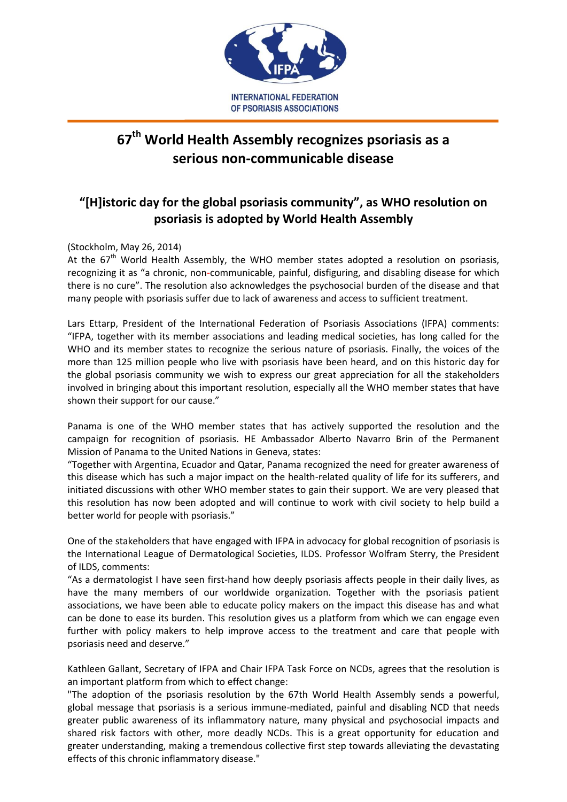

# **67th World Health Assembly recognizes psoriasis as a serious non-communicable disease**

# **"[H]istoric day for the global psoriasis community", as WHO resolution on psoriasis is adopted by World Health Assembly**

## (Stockholm, May 26, 2014)

At the  $67<sup>th</sup>$  World Health Assembly, the WHO member states adopted a resolution on psoriasis, recognizing it as "a chronic, non-communicable, painful, disfiguring, and disabling disease for which there is no cure". The resolution also acknowledges the psychosocial burden of the disease and that many people with psoriasis suffer due to lack of awareness and access to sufficient treatment.

Lars Ettarp, President of the International Federation of Psoriasis Associations (IFPA) comments: "IFPA, together with its member associations and leading medical societies, has long called for the WHO and its member states to recognize the serious nature of psoriasis. Finally, the voices of the more than 125 million people who live with psoriasis have been heard, and on this historic day for the global psoriasis community we wish to express our great appreciation for all the stakeholders involved in bringing about this important resolution, especially all the WHO member states that have shown their support for our cause."

Panama is one of the WHO member states that has actively supported the resolution and the campaign for recognition of psoriasis. HE Ambassador Alberto Navarro Brin of the Permanent Mission of Panama to the United Nations in Geneva, states:

"Together with Argentina, Ecuador and Qatar, Panama recognized the need for greater awareness of this disease which has such a major impact on the health-related quality of life for its sufferers, and initiated discussions with other WHO member states to gain their support. We are very pleased that this resolution has now been adopted and will continue to work with civil society to help build a better world for people with psoriasis."

One of the stakeholders that have engaged with IFPA in advocacy for global recognition of psoriasis is the International League of Dermatological Societies, ILDS. Professor Wolfram Sterry, the President of ILDS, comments:

"As a dermatologist I have seen first-hand how deeply psoriasis affects people in their daily lives, as have the many members of our worldwide organization. Together with the psoriasis patient associations, we have been able to educate policy makers on the impact this disease has and what can be done to ease its burden. This resolution gives us a platform from which we can engage even further with policy makers to help improve access to the treatment and care that people with psoriasis need and deserve."

Kathleen Gallant, Secretary of IFPA and Chair IFPA Task Force on NCDs, agrees that the resolution is an important platform from which to effect change:

"The adoption of the psoriasis resolution by the 67th World Health Assembly sends a powerful, global message that psoriasis is a serious immune-mediated, painful and disabling NCD that needs greater public awareness of its inflammatory nature, many physical and psychosocial impacts and shared risk factors with other, more deadly NCDs. This is a great opportunity for education and greater understanding, making a tremendous collective first step towards alleviating the devastating effects of this chronic inflammatory disease."